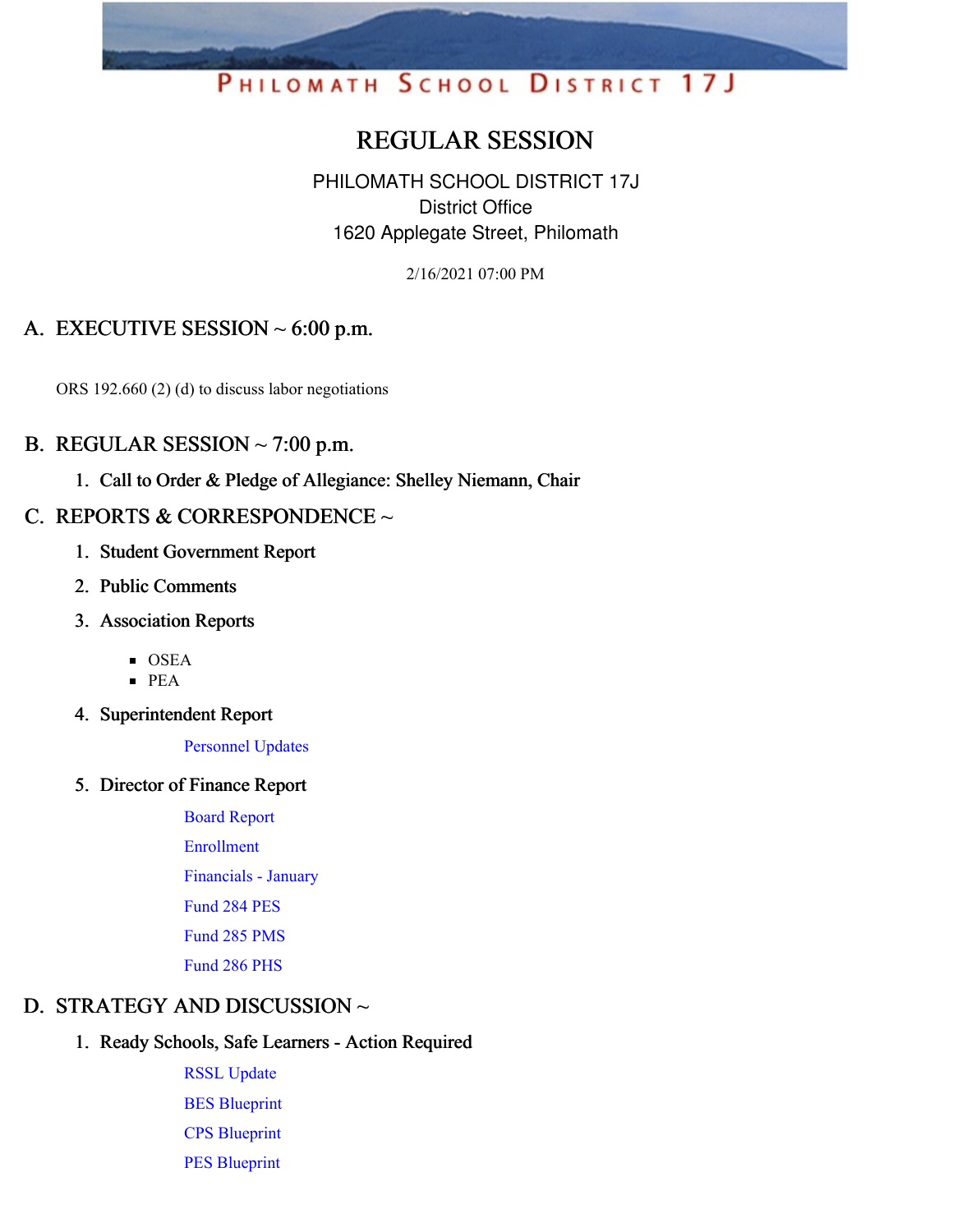# PHILOMATH SCHOOL DISTRICT 17J

# REGULAR SESSION

PHILOMATH SCHOOL DISTRICT 17J District Office 1620 Applegate Street, Philomath

2/16/2021 07:00 PM

# A. EXECUTIVE SESSION  $\sim 6:00$  p.m.

ORS 192.660 (2) (d) to discuss labor negotiations

#### B. REGULAR SESSION  $\sim$  7:00 p.m.

1. Call to Order & Pledge of Allegiance: Shelley Niemann, Chair

# C. REPORTS & CORRESPONDENCE  $\sim$

- 1. Student Government Report
- 2. Public Comments
- 3. Association Reports
	- OSEA
	- PEA
- 4. Superintendent Report

[Personnel](https://app.eduportal.com/documents/view/784006) Updates

5. Director of Finance Report

Board [Report](https://app.eduportal.com/documents/view/783855) [Enrollment](https://app.eduportal.com/documents/view/783859) [Financials](https://app.eduportal.com/documents/view/783853) - January [Fund](https://app.eduportal.com/documents/view/783852) 284 PES [Fund](https://app.eduportal.com/documents/view/783850) 285 PMS [Fund](https://app.eduportal.com/documents/view/783851) 286 PHS

#### D. STRATEGY AND DISCUSSION ~

#### 1. Ready Schools, Safe Learners - Action Required

RSSL [Update](https://app.eduportal.com/documents/view/784421) BES [Blueprint](https://app.eduportal.com/documents/view/784354) CPS [Blueprint](https://app.eduportal.com/documents/view/784353) PES [Blueprint](https://app.eduportal.com/documents/view/784352)